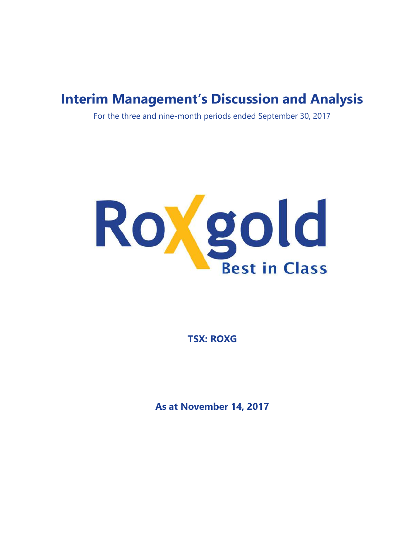# Interim Management's Discussion and Analysis

For the three and nine-month periods ended September 30, 2017



TSX: ROXG

As at November 14, 2017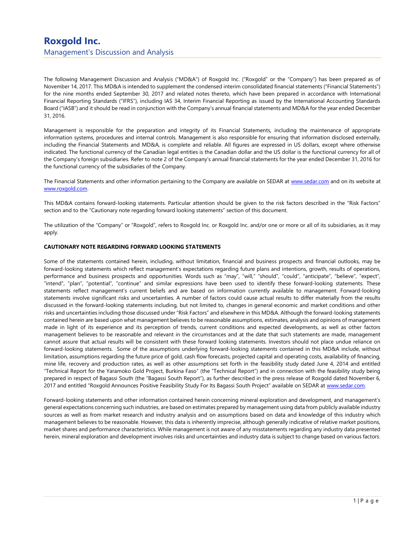The following Management Discussion and Analysis ("MD&A") of Roxgold Inc. ("Roxgold" or the "Company") has been prepared as of November 14, 2017. This MD&A is intended to supplement the condensed interim consolidated financial statements ("Financial Statements") for the nine months ended September 30, 2017 and related notes thereto, which have been prepared in accordance with International Financial Reporting Standards ("IFRS"), including IAS 34, Interim Financial Reporting as issued by the International Accounting Standards Board ("IASB") and it should be read in conjunction with the Company's annual financial statements and MD&A for the year ended December 31, 2016.

Management is responsible for the preparation and integrity of its Financial Statements, including the maintenance of appropriate information systems, procedures and internal controls. Management is also responsible for ensuring that information disclosed externally, including the Financial Statements and MD&A, is complete and reliable. All figures are expressed in US dollars, except where otherwise indicated. The functional currency of the Canadian legal entities is the Canadian dollar and the US dollar is the functional currency for all of the Company's foreign subsidiaries. Refer to note 2 of the Company's annual financial statements for the year ended December 31, 2016 for the functional currency of the subsidiaries of the Company.

The Financial Statements and other information pertaining to the Company are available on SEDAR at www.sedar.com and on its website at www.roxgold.com.

This MD&A contains forward-looking statements. Particular attention should be given to the risk factors described in the "Risk Factors" section and to the "Cautionary note regarding forward looking statements" section of this document.

The utilization of the "Company" or "Roxgold", refers to Roxgold Inc. or Roxgold Inc. and/or one or more or all of its subsidiaries, as it may apply.

### CAUTIONARY NOTE REGARDING FORWARD LOOKING STATEMENTS

Some of the statements contained herein, including, without limitation, financial and business prospects and financial outlooks, may be forward-looking statements which reflect management's expectations regarding future plans and intentions, growth, results of operations, performance and business prospects and opportunities. Words such as "may", "will," "should", "could", "anticipate", "believe", "expect", "intend", "plan", "potential", "continue" and similar expressions have been used to identify these forward-looking statements. These statements reflect management's current beliefs and are based on information currently available to management. Forward-looking statements involve significant risks and uncertainties. A number of factors could cause actual results to differ materially from the results discussed in the forward-looking statements including, but not limited to, changes in general economic and market conditions and other risks and uncertainties including those discussed under "Risk Factors" and elsewhere in this MD&A. Although the forward-looking statements contained herein are based upon what management believes to be reasonable assumptions, estimates, analysis and opinions of management made in light of its experience and its perception of trends, current conditions and expected developments, as well as other factors management believes to be reasonable and relevant in the circumstances and at the date that such statements are made, management cannot assure that actual results will be consistent with these forward looking statements. Investors should not place undue reliance on forward-looking statements. Some of the assumptions underlying forward-looking statements contained in this MD&A include, without limitation, assumptions regarding the future price of gold, cash flow forecasts, projected capital and operating costs, availability of financing, mine life, recovery and production rates, as well as other assumptions set forth in the feasibility study dated June 4, 2014 and entitled "Technical Report for the Yaramoko Gold Project, Burkina Faso" (the "Technical Report") and in connection with the feasibility study being prepared in respect of Bagassi South (the "Bagassi South Report"), as further described in the press release of Roxgold dated November 6, 2017 and entitled "Roxgold Announces Positive Feasibility Study For Its Bagassi South Project" available on SEDAR at www.sedar.com.

Forward-looking statements and other information contained herein concerning mineral exploration and development, and management's general expectations concerning such industries, are based on estimates prepared by management using data from publicly available industry sources as well as from market research and industry analysis and on assumptions based on data and knowledge of this industry which management believes to be reasonable. However, this data is inherently imprecise, although generally indicative of relative market positions, market shares and performance characteristics. While management is not aware of any misstatements regarding any industry data presented herein, mineral exploration and development involves risks and uncertainties and industry data is subject to change based on various factors.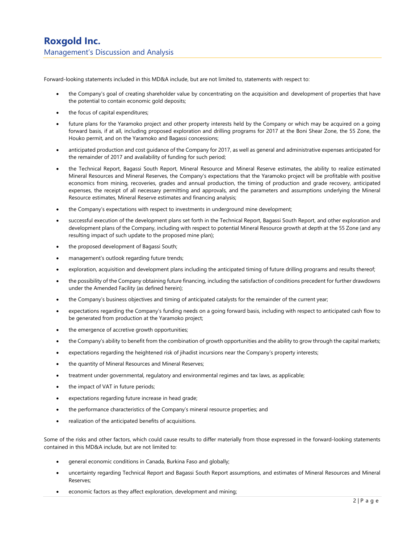Forward-looking statements included in this MD&A include, but are not limited to, statements with respect to:

- the Company's goal of creating shareholder value by concentrating on the acquisition and development of properties that have the potential to contain economic gold deposits;
- the focus of capital expenditures;
- future plans for the Yaramoko project and other property interests held by the Company or which may be acquired on a going forward basis, if at all, including proposed exploration and drilling programs for 2017 at the Boni Shear Zone, the 55 Zone, the Houko permit, and on the Yaramoko and Bagassi concessions;
- anticipated production and cost guidance of the Company for 2017, as well as general and administrative expenses anticipated for the remainder of 2017 and availability of funding for such period;
- the Technical Report, Bagassi South Report, Mineral Resource and Mineral Reserve estimates, the ability to realize estimated Mineral Resources and Mineral Reserves, the Company's expectations that the Yaramoko project will be profitable with positive economics from mining, recoveries, grades and annual production, the timing of production and grade recovery, anticipated expenses, the receipt of all necessary permitting and approvals, and the parameters and assumptions underlying the Mineral Resource estimates, Mineral Reserve estimates and financing analysis;
- the Company's expectations with respect to investments in underground mine development;
- successful execution of the development plans set forth in the Technical Report, Bagassi South Report, and other exploration and development plans of the Company, including with respect to potential Mineral Resource growth at depth at the 55 Zone (and any resulting impact of such update to the proposed mine plan);
- the proposed development of Bagassi South;
- management's outlook regarding future trends;
- exploration, acquisition and development plans including the anticipated timing of future drilling programs and results thereof;
- the possibility of the Company obtaining future financing, including the satisfaction of conditions precedent for further drawdowns under the Amended Facility (as defined herein);
- the Company's business objectives and timing of anticipated catalysts for the remainder of the current year;
- expectations regarding the Company's funding needs on a going forward basis, including with respect to anticipated cash flow to be generated from production at the Yaramoko project;
- the emergence of accretive growth opportunities;
- the Company's ability to benefit from the combination of growth opportunities and the ability to grow through the capital markets;
- expectations regarding the heightened risk of jihadist incursions near the Company's property interests;
- the quantity of Mineral Resources and Mineral Reserves;
- treatment under governmental, regulatory and environmental regimes and tax laws, as applicable;
- the impact of VAT in future periods;
- expectations regarding future increase in head grade;
- the performance characteristics of the Company's mineral resource properties; and
- realization of the anticipated benefits of acquisitions.

Some of the risks and other factors, which could cause results to differ materially from those expressed in the forward-looking statements contained in this MD&A include, but are not limited to:

- general economic conditions in Canada, Burkina Faso and globally;
- uncertainty regarding Technical Report and Bagassi South Report assumptions, and estimates of Mineral Resources and Mineral Reserves;
- economic factors as they affect exploration, development and mining;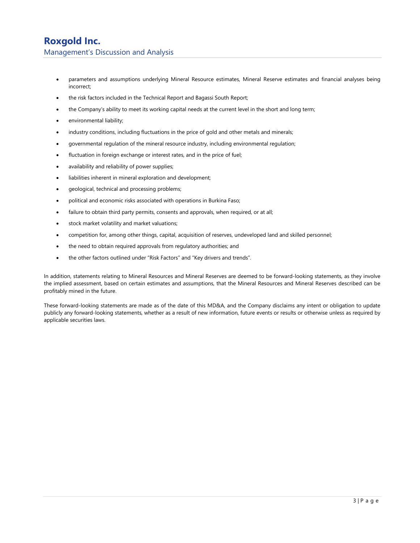## Roxgold Inc. Management's Discussion and Analysis

- parameters and assumptions underlying Mineral Resource estimates, Mineral Reserve estimates and financial analyses being incorrect;
- the risk factors included in the Technical Report and Bagassi South Report;
- the Company's ability to meet its working capital needs at the current level in the short and long term;
- environmental liability;
- industry conditions, including fluctuations in the price of gold and other metals and minerals;
- governmental regulation of the mineral resource industry, including environmental regulation;
- fluctuation in foreign exchange or interest rates, and in the price of fuel;
- availability and reliability of power supplies;
- liabilities inherent in mineral exploration and development;
- geological, technical and processing problems;
- political and economic risks associated with operations in Burkina Faso;
- failure to obtain third party permits, consents and approvals, when required, or at all;
- stock market volatility and market valuations;
- competition for, among other things, capital, acquisition of reserves, undeveloped land and skilled personnel;
- the need to obtain required approvals from regulatory authorities; and
- the other factors outlined under "Risk Factors" and "Key drivers and trends".

In addition, statements relating to Mineral Resources and Mineral Reserves are deemed to be forward-looking statements, as they involve the implied assessment, based on certain estimates and assumptions, that the Mineral Resources and Mineral Reserves described can be profitably mined in the future.

These forward-looking statements are made as of the date of this MD&A, and the Company disclaims any intent or obligation to update publicly any forward-looking statements, whether as a result of new information, future events or results or otherwise unless as required by applicable securities laws.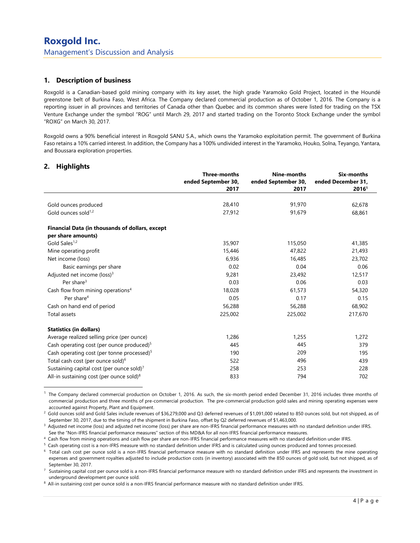## 1. Description of business

Roxgold is a Canadian-based gold mining company with its key asset, the high grade Yaramoko Gold Project, located in the Houndé greenstone belt of Burkina Faso, West Africa. The Company declared commercial production as of October 1, 2016. The Company is a reporting issuer in all provinces and territories of Canada other than Quebec and its common shares were listed for trading on the TSX Venture Exchange under the symbol "ROG" until March 29, 2017 and started trading on the Toronto Stock Exchange under the symbol "ROXG" on March 30, 2017.

Roxgold owns a 90% beneficial interest in Roxgold SANU S.A., which owns the Yaramoko exploitation permit. The government of Burkina Faso retains a 10% carried interest. In addition, the Company has a 100% undivided interest in the Yaramoko, Houko, Solna, Teyango, Yantara, and Boussara exploration properties.

## 2. Highlights

-

|                                                        | <b>Three-months</b><br>ended September 30,<br>2017 | Nine-months<br>ended September 30,<br>2017 | <b>Six-months</b><br>ended December 31,<br>2016 <sup>1</sup> |
|--------------------------------------------------------|----------------------------------------------------|--------------------------------------------|--------------------------------------------------------------|
|                                                        |                                                    |                                            |                                                              |
| Gold ounces produced                                   | 28,410                                             | 91,970                                     | 62,678                                                       |
| Gold ounces sold <sup>1,2</sup>                        | 27,912                                             | 91,679                                     | 68,861                                                       |
| Financial Data (in thousands of dollars, except        |                                                    |                                            |                                                              |
| per share amounts)                                     |                                                    |                                            |                                                              |
| Gold Sales <sup>1,2</sup>                              | 35,907                                             | 115,050                                    | 41,385                                                       |
| Mine operating profit                                  | 15,446                                             | 47,822                                     | 21,493                                                       |
| Net income (loss)                                      | 6,936                                              | 16,485                                     | 23,702                                                       |
| Basic earnings per share                               | 0.02                                               | 0.04                                       | 0.06                                                         |
| Adjusted net income (loss) <sup>3</sup>                | 9,281                                              | 23,492                                     | 12,517                                                       |
| Per share $3$                                          | 0.03                                               | 0.06                                       | 0.03                                                         |
| Cash flow from mining operations <sup>4</sup>          | 18,028                                             | 61,573                                     | 54,320                                                       |
| Per share <sup>4</sup>                                 | 0.05                                               | 0.17                                       | 0.15                                                         |
| Cash on hand end of period                             | 56,288                                             | 56,288                                     | 68,902                                                       |
| Total assets                                           | 225,002                                            | 225,002                                    | 217,670                                                      |
| <b>Statistics (in dollars)</b>                         |                                                    |                                            |                                                              |
| Average realized selling price (per ounce)             | 1,286                                              | 1,255                                      | 1,272                                                        |
| Cash operating cost (per ounce produced) <sup>5</sup>  | 445                                                | 445                                        | 379                                                          |
| Cash operating cost (per tonne processed) <sup>5</sup> | 190                                                | 209                                        | 195                                                          |
| Total cash cost (per ounce sold) <sup>6</sup>          | 522                                                | 496                                        | 439                                                          |
| Sustaining capital cost (per ounce sold) <sup>7</sup>  | 258                                                | 253                                        | 228                                                          |
| All-in sustaining cost (per ounce sold) <sup>8</sup>   | 833                                                | 794                                        | 702                                                          |

 $<sup>1</sup>$  The Company declared commercial production on October 1, 2016. As such, the six-month period ended December 31, 2016 includes three months of</sup> commercial production and three months of pre-commercial production. The pre-commercial production gold sales and mining operating expenses were accounted against Property, Plant and Equipment.

<sup>2</sup>Gold ounces sold and Gold Sales include revenues of \$36,279,000 and Q3 deferred revenues of \$1,091,000 related to 850 ounces sold, but not shipped, as of September 30, 2017, due to the timing of the shipment in Burkina Faso, offset by Q2 deferred revenues of \$1,463,000.

<sup>3</sup> Adjusted net income (loss) and adjusted net income (loss) per share are non-IFRS financial performance measures with no standard definition under IFRS. See the "Non-IFRS financial performance measures" section of this MD&A for all non-IFRS financial performance measures.

<sup>4</sup>Cash flow from mining operations and cash flow per share are non-IFRS financial performance measures with no standard definition under IFRS.

<sup>5</sup> Cash operating cost is a non-IFRS measure with no standard definition under IFRS and is calculated using ounces produced and tonnes processed.

<sup>6</sup> Total cash cost per ounce sold is a non-IFRS financial performance measure with no standard definition under IFRS and represents the mine operating expenses and government royalties adjusted to include production costs (in inventory) associated with the 850 ounces of gold sold, but not shipped, as of September 30, 2017.

Sustaining capital cost per ounce sold is a non-IFRS financial performance measure with no standard definition under IFRS and represents the investment in underground development per ounce sold.

8 All-in sustaining cost per ounce sold is a non-IFRS financial performance measure with no standard definition under IFRS.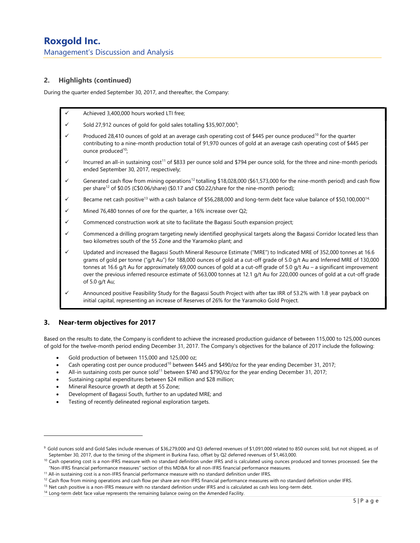## 2. Highlights (continued)

During the quarter ended September 30, 2017, and thereafter, the Company:

- Achieved 3,400,000 hours worked LTI free;
- $\checkmark$  Sold 27,912 ounces of gold for gold sales totalling \$35,907,000<sup>9</sup>;
- Produced 28,410 ounces of gold at an average cash operating cost of \$445 per ounce produced<sup>10</sup> for the quarter contributing to a nine-month production total of 91,970 ounces of gold at an average cash operating cost of \$445 per ounce produced<sup>10</sup>;
- Incurred an all-in sustaining cost<sup>11</sup> of \$833 per ounce sold and \$794 per ounce sold, for the three and nine-month periods ended September 30, 2017, respectively;
- Generated cash flow from mining operations<sup>12</sup> totalling \$18,028,000 (\$61,573,000 for the nine-month period) and cash flow per share<sup>12</sup> of \$0.05 (C\$0.06/share) (\$0.17 and C\$0.22/share for the nine-month period);
- Became net cash positive<sup>13</sup> with a cash balance of \$56,288,000 and long-term debt face value balance of \$50,100,000<sup>14;</sup>
- Mined 76,480 tonnes of ore for the quarter, a 16% increase over Q2;
- Commenced construction work at site to facilitate the Bagassi South expansion project;
- Commenced a drilling program targeting newly identified geophysical targets along the Bagassi Corridor located less than two kilometres south of the 55 Zone and the Yaramoko plant; and
- Updated and increased the Bagassi South Mineral Resource Estimate ("MRE") to Indicated MRE of 352,000 tonnes at 16.6 grams of gold per tonne ("g/t Au") for 188,000 ounces of gold at a cut-off grade of 5.0 g/t Au and Inferred MRE of 130,000 tonnes at 16.6 g/t Au for approximately 69,000 ounces of gold at a cut-off grade of 5.0 g/t Au – a significant improvement over the previous inferred resource estimate of 563,000 tonnes at 12.1 g/t Au for 220,000 ounces of gold at a cut-off grade of 5.0 g/t Au;
- Announced positive Feasibility Study for the Bagassi South Project with after tax IRR of 53.2% with 1.8 year payback on initial capital, representing an increase of Reserves of 26% for the Yaramoko Gold Project.

## 3. Near-term objectives for 2017

-

Based on the results to date, the Company is confident to achieve the increased production guidance of between 115,000 to 125,000 ounces of gold for the twelve-month period ending December 31, 2017. The Company's objectives for the balance of 2017 include the following:

- Gold production of between 115,000 and 125,000 oz;
- Cash operating cost per ounce produced<sup>10</sup> between \$445 and \$490/oz for the year ending December 31, 2017;
- All-in sustaining costs per ounce sold<sup>11</sup> between \$740 and \$790/oz for the year ending December 31, 2017;
- Sustaining capital expenditures between \$24 million and \$28 million;
- Mineral Resource growth at depth at 55 Zone;
- Development of Bagassi South, further to an updated MRE; and
- Testing of recently delineated regional exploration targets.

<sup>&</sup>lt;sup>9</sup> Gold ounces sold and Gold Sales include revenues of \$36,279,000 and Q3 deferred revenues of \$1,091,000 related to 850 ounces sold, but not shipped, as of September 30, 2017, due to the timing of the shipment in Burkina Faso, offset by Q2 deferred revenues of \$1,463,000.

<sup>&</sup>lt;sup>10</sup> Cash operating cost is a non-IFRS measure with no standard definition under IFRS and is calculated using ounces produced and tonnes processed. See the "Non-IFRS financial performance measures" section of this MD&A for all non-IFRS financial performance measures.

<sup>&</sup>lt;sup>11</sup> All-in sustaining cost is a non-IFRS financial performance measure with no standard definition under IFRS.

 $12$  Cash flow from mining operations and cash flow per share are non-IFRS financial performance measures with no standard definition under IFRS.

<sup>&</sup>lt;sup>13</sup> Net cash positive is a non-IFRS measure with no standard definition under IFRS and is calculated as cash less long-term debt.

<sup>&</sup>lt;sup>14</sup> Long-term debt face value represents the remaining balance owing on the Amended Facility.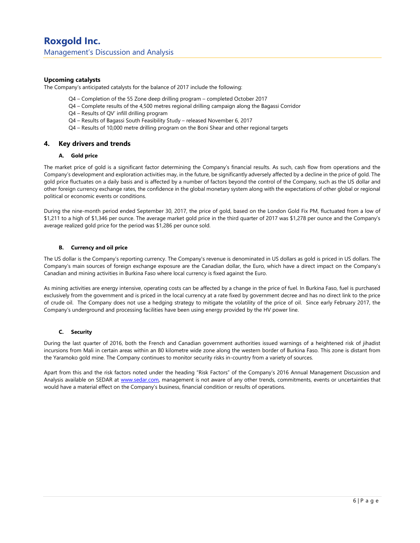#### Upcoming catalysts

The Company's anticipated catalysts for the balance of 2017 include the following:

- Q4 Completion of the 55 Zone deep drilling program completed October 2017
- Q4 Complete results of the 4,500 metres regional drilling campaign along the Bagassi Corridor
- Q4 Results of QV' infill drilling program
- Q4 Results of Bagassi South Feasibility Study released November 6, 2017
- Q4 Results of 10,000 metre drilling program on the Boni Shear and other regional targets

#### 4. Key drivers and trends

#### A. Gold price

The market price of gold is a significant factor determining the Company's financial results. As such, cash flow from operations and the Company's development and exploration activities may, in the future, be significantly adversely affected by a decline in the price of gold. The gold price fluctuates on a daily basis and is affected by a number of factors beyond the control of the Company, such as the US dollar and other foreign currency exchange rates, the confidence in the global monetary system along with the expectations of other global or regional political or economic events or conditions.

During the nine-month period ended September 30, 2017, the price of gold, based on the London Gold Fix PM, fluctuated from a low of \$1,211 to a high of \$1,346 per ounce. The average market gold price in the third quarter of 2017 was \$1,278 per ounce and the Company's average realized gold price for the period was \$1,286 per ounce sold.

#### B. Currency and oil price

The US dollar is the Company's reporting currency. The Company's revenue is denominated in US dollars as gold is priced in US dollars. The Company's main sources of foreign exchange exposure are the Canadian dollar, the Euro, which have a direct impact on the Company's Canadian and mining activities in Burkina Faso where local currency is fixed against the Euro.

As mining activities are energy intensive, operating costs can be affected by a change in the price of fuel. In Burkina Faso, fuel is purchased exclusively from the government and is priced in the local currency at a rate fixed by government decree and has no direct link to the price of crude oil. The Company does not use a hedging strategy to mitigate the volatility of the price of oil. Since early February 2017, the Company's underground and processing facilities have been using energy provided by the HV power line.

#### C. Security

During the last quarter of 2016, both the French and Canadian government authorities issued warnings of a heightened risk of jihadist incursions from Mali in certain areas within an 80 kilometre wide zone along the western border of Burkina Faso. This zone is distant from the Yaramoko gold mine. The Company continues to monitor security risks in-country from a variety of sources.

Apart from this and the risk factors noted under the heading "Risk Factors" of the Company's 2016 Annual Management Discussion and Analysis available on SEDAR at www.sedar.com, management is not aware of any other trends, commitments, events or uncertainties that would have a material effect on the Company's business, financial condition or results of operations.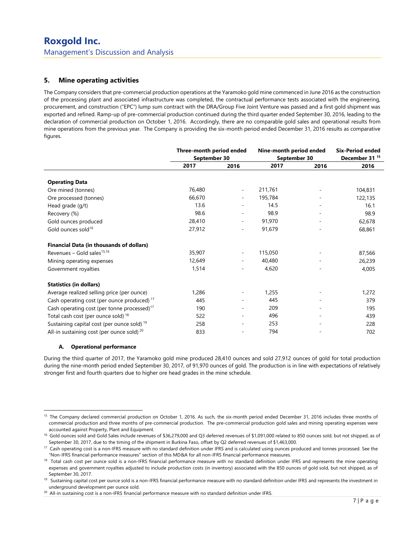## 5. Mine operating activities

The Company considers that pre-commercial production operations at the Yaramoko gold mine commenced in June 2016 as the construction of the processing plant and associated infrastructure was completed, the contractual performance tests associated with the engineering, procurement, and construction ("EPC") lump sum contract with the DRA/Group Five Joint Venture was passed and a first gold shipment was exported and refined. Ramp-up of pre-commercial production continued during the third quarter ended September 30, 2016, leading to the declaration of commercial production on October 1, 2016. Accordingly, there are no comparable gold sales and operational results from mine operations from the previous year. The Company is providing the six-month period ended December 31, 2016 results as comparative figures.

|                                                         | Three-month period ended |                          | Nine-month period ended |              | <b>Six-Period ended</b><br>December 31 <sup>15</sup> |
|---------------------------------------------------------|--------------------------|--------------------------|-------------------------|--------------|------------------------------------------------------|
|                                                         |                          | September 30             |                         | September 30 |                                                      |
|                                                         | 2017                     | 2016                     | 2017                    | 2016         | 2016                                                 |
| <b>Operating Data</b>                                   |                          |                          |                         |              |                                                      |
| Ore mined (tonnes)                                      | 76,480                   | $\overline{\phantom{a}}$ | 211,761                 |              | 104,831                                              |
| Ore processed (tonnes)                                  | 66,670                   | ٠                        | 195,784                 |              | 122,135                                              |
| Head grade (g/t)                                        | 13.6                     |                          | 14.5                    |              | 16.1                                                 |
| Recovery (%)                                            | 98.6                     |                          | 98.9                    |              | 98.9                                                 |
| Gold ounces produced                                    | 28,410                   | $\overline{\phantom{a}}$ | 91,970                  |              | 62,678                                               |
| Gold ounces sold <sup>16</sup>                          | 27,912                   | $\overline{\phantom{a}}$ | 91,679                  |              | 68,861                                               |
| <b>Financial Data (in thousands of dollars)</b>         |                          |                          |                         |              |                                                      |
| Revenues – Gold sales <sup>15,16</sup>                  | 35,907                   | ٠                        | 115,050                 |              | 87,566                                               |
| Mining operating expenses                               | 12,649                   | ٠                        | 40,480                  |              | 26,239                                               |
| Government royalties                                    | 1,514                    |                          | 4,620                   |              | 4,005                                                |
| <b>Statistics (in dollars)</b>                          |                          |                          |                         |              |                                                      |
| Average realized selling price (per ounce)              | 1,286                    |                          | 1,255                   |              | 1,272                                                |
| Cash operating cost (per ounce produced) <sup>17</sup>  | 445                      |                          | 445                     |              | 379                                                  |
| Cash operating cost (per tonne processed) <sup>17</sup> | 190                      |                          | 209                     |              | 195                                                  |
| Total cash cost (per ounce sold) <sup>18</sup>          | 522                      |                          | 496                     |              | 439                                                  |
| Sustaining capital cost (per ounce sold) <sup>19</sup>  | 258                      | $\overline{a}$           | 253                     | -            | 228                                                  |
| All-in sustaining cost (per ounce sold) <sup>20</sup>   | 833                      |                          | 794                     |              | 702                                                  |

#### A. Operational performance

-

During the third quarter of 2017, the Yaramoko gold mine produced 28,410 ounces and sold 27,912 ounces of gold for total production during the nine-month period ended September 30, 2017, of 91,970 ounces of gold. The production is in line with expectations of relatively stronger first and fourth quarters due to higher ore head grades in the mine schedule.

<sup>&</sup>lt;sup>15</sup> The Company declared commercial production on October 1, 2016. As such, the six-month period ended December 31, 2016 includes three months of commercial production and three months of pre-commercial production. The pre-commercial production gold sales and mining operating expenses were accounted against Property, Plant and Equipment.

<sup>&</sup>lt;sup>16</sup> Gold ounces sold and Gold Sales include revenues of \$36,279,000 and Q3 deferred revenues of \$1,091,000 related to 850 ounces sold, but not shipped, as of September 30, 2017, due to the timing of the shipment in Burkina Faso, offset by Q2 deferred revenues of \$1,463,000.

<sup>&</sup>lt;sup>17</sup> Cash operating cost is a non-IFRS measure with no standard definition under IFRS and is calculated using ounces produced and tonnes processed. See the "Non-IFRS financial performance measures" section of this MD&A for all non-IFRS financial performance measures.

<sup>&</sup>lt;sup>18</sup> Total cash cost per ounce sold is a non-IFRS financial performance measure with no standard definition under IFRS and represents the mine operating expenses and government royalties adjusted to include production costs (in inventory) associated with the 850 ounces of gold sold, but not shipped, as of September 30, 2017.

<sup>&</sup>lt;sup>19</sup> Sustaining capital cost per ounce sold is a non-IFRS financial performance measure with no standard definition under IFRS and represents the investment in underground development per ounce sold.

<sup>&</sup>lt;sup>20</sup> All-in sustaining cost is a non-IFRS financial performance measure with no standard definition under IFRS.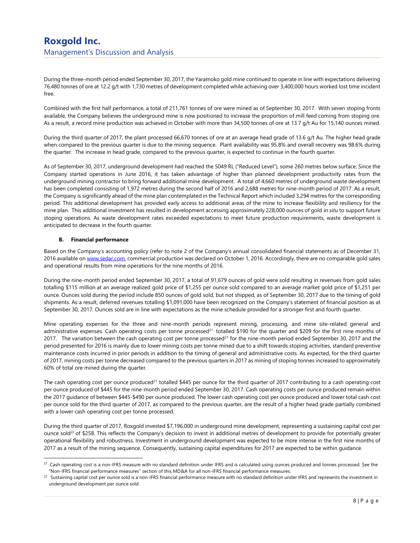During the three-month period ended September 30, 2017, the Yaramoko gold mine continued to operate in line with expectations delivering 76,480 tonnes of ore at 12.2 g/t with 1,730 metres of development completed while achieving over 3,400,000 hours worked lost time incident free.

Combined with the first half performance, a total of 211,761 tonnes of ore were mined as of September 30, 2017. With seven stoping fronts available, the Company believes the underground mine is now positioned to increase the proportion of mill feed coming from stoping ore. As a result, a record mine production was achieved in October with more than 34,500 tonnes of ore at 13.7 g/t Au for 15,140 ounces mined.

During the third quarter of 2017, the plant processed 66,670 tonnes of ore at an average head grade of 13.6 g/t Au. The higher head grade when compared to the previous quarter is due to the mining sequence. Plant availability was 95.8% and overall recovery was 98.6% during the quarter. The increase in head grade, compared to the previous quarter, is expected to continue in the fourth quarter.

As of September 30, 2017, underground development had reached the 5049 RL ("Reduced Level"), some 260 metres below surface. Since the Company started operations in June 2016, it has taken advantage of higher than planned development productivity rates from the underground mining contractor to bring forward additional mine development. A total of 4,660 metres of underground waste development has been completed consisting of 1,972 metres during the second half of 2016 and 2,688 metres for nine-month period of 2017. As a result, the Company is significantly ahead of the mine plan contemplated in the Technical Report which included 3,294 metres for the corresponding period. This additional development has provided early access to additional areas of the mine to increase flexibility and resiliency for the mine plan. This additional investment has resulted in development accessing approximately 228,000 ounces of gold in situ to support future stoping operations. As waste development rates exceeded expectations to meet future production requirements, waste development is anticipated to decrease in the fourth quarter.

#### B. Financial performance

-

Based on the Company's accounting policy (refer to note 2 of the Company's annual consolidated financial statements as of December 31, 2016 available on www.sedar.com, commercial production was declared on October 1, 2016. Accordingly, there are no comparable gold sales and operational results from mine operations for the nine months of 2016.

During the nine-month period ended September 30, 2017, a total of 91,679 ounces of gold were sold resulting in revenues from gold sales totalling \$115 million at an average realized gold price of \$1,255 per ounce sold compared to an average market gold price of \$1,251 per ounce. Ounces sold during the period include 850 ounces of gold sold, but not shipped, as of September 30, 2017 due to the timing of gold shipments. As a result, deferred revenues totalling \$1,091,000 have been recognized on the Company's statement of financial position as at September 30, 2017. Ounces sold are in line with expectations as the mine schedule provided for a stronger first and fourth quarter.

Mine operating expenses for the three and nine-month periods represent mining, processing, and mine site-related general and administrative expenses. Cash operating costs per tonne processed<sup>21</sup> totalled \$190 for the quarter and \$209 for the first nine months of 2017. The variation between the cash operating cost per tonne processed<sup>21</sup> for the nine-month period ended September 30, 2017 and the period presented for 2016 is mainly due to lower mining costs per tonne mined due to a shift towards stoping activities, standard preventive maintenance costs incurred in prior periods in addition to the timing of general and administrative costs. As expected, for the third quarter of 2017, mining costs per tonne decreased compared to the previous quarters in 2017 as mining of stoping tonnes increased to approximately 60% of total ore mined during the quarter.

The cash operating cost per ounce produced<sup>21</sup> totalled \$445 per ounce for the third quarter of 2017 contributing to a cash operating cost per ounce produced of \$445 for the nine-month period ended September 30, 2017. Cash operating costs per ounce produced remain within the 2017 guidance of between \$445-\$490 per ounce produced. The lower cash operating cost per ounce produced and lower total cash cost per ounce sold for the third quarter of 2017, as compared to the previous quarter, are the result of a higher head grade partially combined with a lower cash operating cost per tonne processed.

During the third quarter of 2017, Roxgold invested \$7,196,000 in underground mine development, representing a sustaining capital cost per ounce sold<sup>22</sup> of \$258. This reflects the Company's decision to invest in additional metres of development to provide for potentially greater operational flexibility and robustness. Investment in underground development was expected to be more intense in the first nine months of 2017 as a result of the mining sequence. Consequently, sustaining capital expenditures for 2017 are expected to be within guidance.

<sup>&</sup>lt;sup>21</sup> Cash operating cost is a non-IFRS measure with no standard definition under IFRS and is calculated using ounces produced and tonnes processed. See the "Non-IFRS financial performance measures" section of this MD&A for all non-IFRS financial performance measures.

 $^{22}$  Sustaining capital cost per ounce sold is a non-IFRS financial performance measure with no standard definition under IFRS and represents the investment in underground development per ounce sold.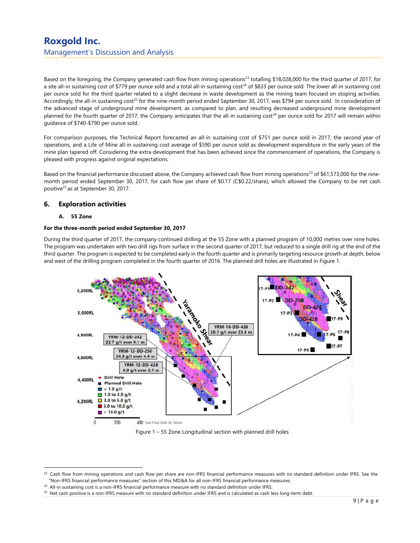Based on the foregoing, the Company generated cash flow from mining operations<sup>23</sup> totalling \$18,028,000 for the third quarter of 2017, for a site all-in sustaining cost of \$779 per ounce sold and a total all-in sustaining cost<sup>24</sup> of \$833 per ounce sold. The lower all-in sustaining cost per ounce sold for the third quarter related to a slight decrease in waste development as the mining team focused on stoping activities. Accordingly, the all-in sustaining cost<sup>22</sup> for the nine-month period ended September 30, 2017, was \$794 per ounce sold. In consideration of the advanced stage of underground mine development, as compared to plan, and resulting decreased underground mine development planned for the fourth quarter of 2017, the Company anticipates that the all-in sustaining cost<sup>24</sup> per ounce sold for 2017 will remain within guidance of \$740-\$790 per ounce sold.

For comparison purposes, the Technical Report forecasted an all-in sustaining cost of \$751 per ounce sold in 2017, the second year of operations, and a Life of Mine all-in sustaining cost average of \$590 per ounce sold as development expenditure in the early years of the mine plan tapered off. Considering the extra development that has been achieved since the commencement of operations, the Company is pleased with progress against original expectations.

Based on the financial performance discussed above, the Company achieved cash flow from mining operations<sup>23</sup> of \$61,573,000 for the ninemonth period ended September 30, 2017, for cash flow per share of \$0.17 (C\$0.22/share), which allowed the Company to be net cash positive<sup>25</sup> as at September 30, 2017.

### 6. Exploration activities

#### A. 55 Zone

-

#### For the three-month period ended September 30, 2017

During the third quarter of 2017, the company continued drilling at the 55 Zone with a planned program of 10,000 metres over nine holes. The program was undertaken with two drill rigs from surface in the second quarter of 2017, but reduced to a single drill rig at the end of the third quarter. The program is expected to be completed early in the fourth quarter and is primarily targeting resource growth at depth, below and west of the drilling program completed in the fourth quarter of 2016. The planned drill holes are illustrated in Figure 1.



Figure 1 – 55 Zone Longitudinal section with planned drill holes

<sup>&</sup>lt;sup>23</sup> Cash flow from mining operations and cash flow per share are non-IFRS financial performance measures with no standard definition under IFRS. See the "Non-IFRS financial performance measures" section of this MD&A for all non-IFRS financial performance measures.

<sup>&</sup>lt;sup>24</sup> All-in sustaining cost is a non-IFRS financial performance measure with no standard definition under IFRS.

<sup>&</sup>lt;sup>25</sup> Net cash positive is a non-IFRS measure with no standard definition under IFRS and is calculated as cash less long-term debt.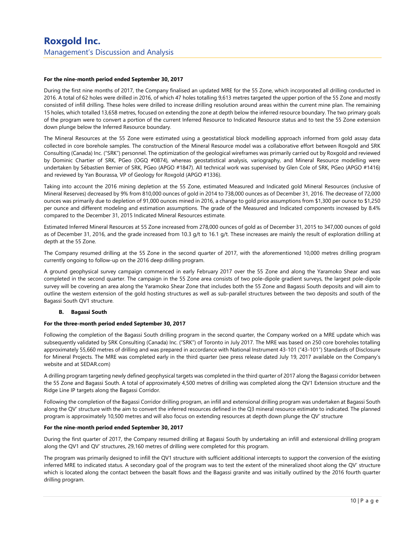#### For the nine-month period ended September 30, 2017

During the first nine months of 2017, the Company finalised an updated MRE for the 55 Zone, which incorporated all drilling conducted in 2016. A total of 62 holes were drilled in 2016, of which 47 holes totalling 9,613 metres targeted the upper portion of the 55 Zone and mostly consisted of infill drilling. These holes were drilled to increase drilling resolution around areas within the current mine plan. The remaining 15 holes, which totalled 13,658 metres, focused on extending the zone at depth below the inferred resource boundary. The two primary goals of the program were to convert a portion of the current Inferred Resource to Indicated Resource status and to test the 55 Zone extension down plunge below the Inferred Resource boundary.

The Mineral Resources at the 55 Zone were estimated using a geostatistical block modelling approach informed from gold assay data collected in core borehole samples. The construction of the Mineral Resource model was a collaborative effort between Roxgold and SRK Consulting (Canada) Inc. ("SRK") personnel. The optimization of the geological wireframes was primarily carried out by Roxgold and reviewed by Dominic Chartier of SRK, PGeo (OGQ #0874), whereas geostatistical analysis, variography, and Mineral Resource modelling were undertaken by Sébastien Bernier of SRK, PGeo (APGO #1847). All technical work was supervised by Glen Cole of SRK, PGeo (APGO #1416) and reviewed by Yan Bourassa, VP of Geology for Roxgold (APGO #1336).

Taking into account the 2016 mining depletion at the 55 Zone, estimated Measured and Indicated gold Mineral Resources (inclusive of Mineral Reserves) decreased by 9% from 810,000 ounces of gold in 2014 to 738,000 ounces as of December 31, 2016. The decrease of 72,000 ounces was primarily due to depletion of 91,000 ounces mined in 2016, a change to gold price assumptions from \$1,300 per ounce to \$1,250 per ounce and different modeling and estimation assumptions. The grade of the Measured and Indicated components increased by 8.4% compared to the December 31, 2015 Indicated Mineral Resources estimate.

Estimated Inferred Mineral Resources at 55 Zone increased from 278,000 ounces of gold as of December 31, 2015 to 347,000 ounces of gold as of December 31, 2016, and the grade increased from 10.3 g/t to 16.1 g/t. These increases are mainly the result of exploration drilling at depth at the 55 Zone.

The Company resumed drilling at the 55 Zone in the second quarter of 2017, with the aforementioned 10,000 metres drilling program currently ongoing to follow-up on the 2016 deep drilling program.

A ground geophysical survey campaign commenced in early February 2017 over the 55 Zone and along the Yaramoko Shear and was completed in the second quarter. The campaign in the 55 Zone area consists of two pole-dipole gradient surveys, the largest pole-dipole survey will be covering an area along the Yaramoko Shear Zone that includes both the 55 Zone and Bagassi South deposits and will aim to outline the western extension of the gold hosting structures as well as sub-parallel structures between the two deposits and south of the Bagassi South QV1 structure.

#### B. Bagassi South

#### For the three-month period ended September 30, 2017

Following the completion of the Bagassi South drilling program in the second quarter, the Company worked on a MRE update which was subsequently validated by SRK Consulting (Canada) Inc. ("SRK") of Toronto in July 2017. The MRE was based on 250 core boreholes totalling approximately 55,660 metres of drilling and was prepared in accordance with National Instrument 43-101 ("43-101") Standards of Disclosure for Mineral Projects. The MRE was completed early in the third quarter (see press release dated July 19, 2017 available on the Company's website and at SEDAR.com)

A drilling program targeting newly defined geophysical targets was completed in the third quarter of 2017 along the Bagassi corridor between the 55 Zone and Bagassi South. A total of approximately 4,500 metres of drilling was completed along the QV1 Extension structure and the Ridge Line IP targets along the Bagassi Corridor.

Following the completion of the Bagassi Corridor drilling program, an infill and extensional drilling program was undertaken at Bagassi South along the QV' structure with the aim to convert the inferred resources defined in the Q3 mineral resource estimate to indicated. The planned program is approximately 10,500 metres and will also focus on extending resources at depth down plunge the QV' structure

#### For the nine-month period ended September 30, 2017

During the first quarter of 2017, the Company resumed drilling at Bagassi South by undertaking an infill and extensional drilling program along the QV1 and QV' structures, 29,160 metres of drilling were completed for this program.

The program was primarily designed to infill the QV1 structure with sufficient additional intercepts to support the conversion of the existing inferred MRE to indicated status. A secondary goal of the program was to test the extent of the mineralized shoot along the QV' structure which is located along the contact between the basalt flows and the Bagassi granite and was initially outlined by the 2016 fourth quarter drilling program.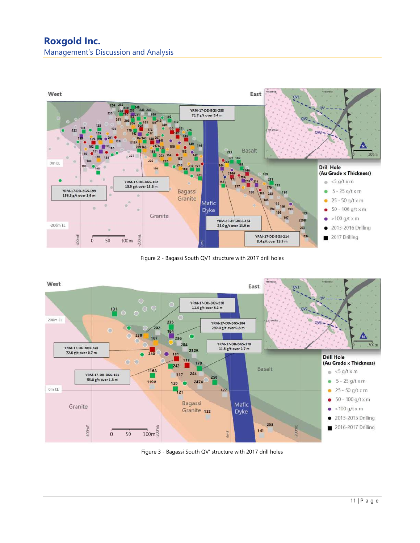## Roxgold Inc. Management's Discussion and Analysis



Figure 2 - Bagassi South QV1 structure with 2017 drill holes



Figure 3 - Bagassi South QV' structure with 2017 drill holes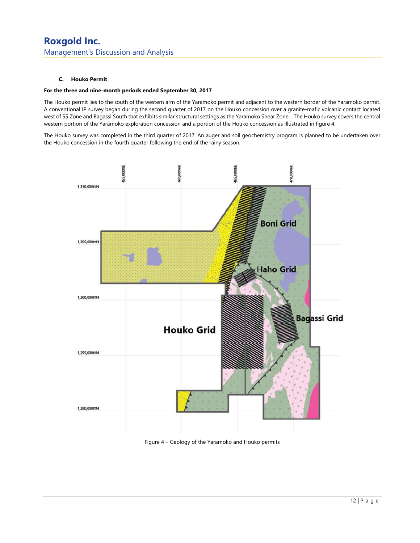#### C. Houko Permit

#### For the three and nine-month periods ended September 30, 2017

The Houko permit lies to the south of the western arm of the Yaramoko permit and adjacent to the western border of the Yaramoko permit. A conventional IP survey began during the second quarter of 2017 on the Houko concession over a granite-mafic volcanic contact located west of 55 Zone and Bagassi South that exhibits similar structural settings as the Yaramoko Shear Zone. The Houko survey covers the central western portion of the Yaramoko exploration concession and a portion of the Houko concession as illustrated in figure 4.

The Houko survey was completed in the third quarter of 2017. An auger and soil geochemistry program is planned to be undertaken over the Houko concession in the fourth quarter following the end of the rainy season.



Figure 4 – Geology of the Yaramoko and Houko permits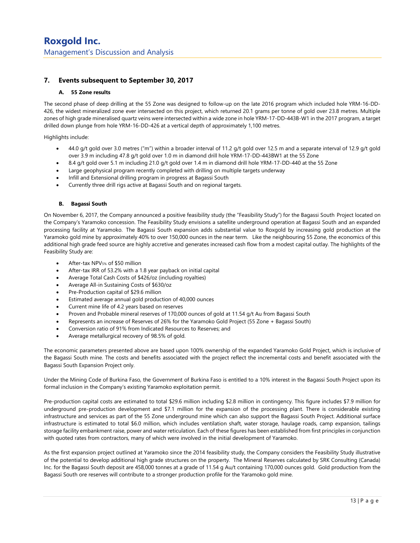## 7. Events subsequent to September 30, 2017

#### A. 55 Zone results

The second phase of deep drilling at the 55 Zone was designed to follow-up on the late 2016 program which included hole YRM-16-DD-426, the widest mineralized zone ever intersected on this project, which returned 20.1 grams per tonne of gold over 23.8 metres. Multiple zones of high grade mineralised quartz veins were intersected within a wide zone in hole YRM-17-DD-443B-W1 in the 2017 program, a target drilled down plunge from hole YRM-16-DD-426 at a vertical depth of approximately 1,100 metres.

Highlights include:

- 44.0 g/t gold over 3.0 metres ("m") within a broader interval of 11.2 g/t gold over 12.5 m and a separate interval of 12.9 g/t gold over 3.9 m including 47.8 g/t gold over 1.0 m in diamond drill hole YRM-17-DD-443BW1 at the 55 Zone
- 8.4 g/t gold over 5.1 m including 21.0 g/t gold over 1.4 m in diamond drill hole YRM-17-DD-440 at the 55 Zone
- Large geophysical program recently completed with drilling on multiple targets underway
- Infill and Extensional drilling program in progress at Bagassi South
- Currently three drill rigs active at Bagassi South and on regional targets.

#### B. Bagassi South

On November 6, 2017, the Company announced a positive feasibility study (the "Feasibility Study") for the Bagassi South Project located on the Company's Yaramoko concession. The Feasibility Study envisions a satellite underground operation at Bagassi South and an expanded processing facility at Yaramoko. The Bagassi South expansion adds substantial value to Roxgold by increasing gold production at the Yaramoko gold mine by approximately 40% to over 150,000 ounces in the near term. Like the neighbouring 55 Zone, the economics of this additional high grade feed source are highly accretive and generates increased cash flow from a modest capital outlay. The highlights of the Feasibility Study are:

- After-tax NPV5% of \$50 million
- After-tax IRR of 53.2% with a 1.8 year payback on initial capital
- Average Total Cash Costs of \$426/oz (including royalties)
- Average All-in Sustaining Costs of \$630/oz
- Pre-Production capital of \$29.6 million
- Estimated average annual gold production of 40,000 ounces
- Current mine life of 4.2 years based on reserves
- Proven and Probable mineral reserves of 170,000 ounces of gold at 11.54 g/t Au from Bagassi South
- Represents an increase of Reserves of 26% for the Yaramoko Gold Project (55 Zone + Bagassi South)
- Conversion ratio of 91% from Indicated Resources to Reserves; and
- Average metallurgical recovery of 98.5% of gold.

The economic parameters presented above are based upon 100% ownership of the expanded Yaramoko Gold Project, which is inclusive of the Bagassi South mine. The costs and benefits associated with the project reflect the incremental costs and benefit associated with the Bagassi South Expansion Project only.

Under the Mining Code of Burkina Faso, the Government of Burkina Faso is entitled to a 10% interest in the Bagassi South Project upon its formal inclusion in the Company's existing Yaramoko exploitation permit.

Pre-production capital costs are estimated to total \$29.6 million including \$2.8 million in contingency. This figure includes \$7.9 million for underground pre-production development and \$7.1 million for the expansion of the processing plant. There is considerable existing infrastructure and services as part of the 55 Zone underground mine which can also support the Bagassi South Project. Additional surface infrastructure is estimated to total \$6.0 million, which includes ventilation shaft, water storage, haulage roads, camp expansion, tailings storage facility embankment raise, power and water reticulation. Each of these figures has been established from first principles in conjunction with quoted rates from contractors, many of which were involved in the initial development of Yaramoko.

As the first expansion project outlined at Yaramoko since the 2014 feasibility study, the Company considers the Feasibility Study illustrative of the potential to develop additional high grade structures on the property. The Mineral Reserves calculated by SRK Consulting (Canada) Inc. for the Bagassi South deposit are 458,000 tonnes at a grade of 11.54 g Au/t containing 170,000 ounces gold. Gold production from the Bagassi South ore reserves will contribute to a stronger production profile for the Yaramoko gold mine.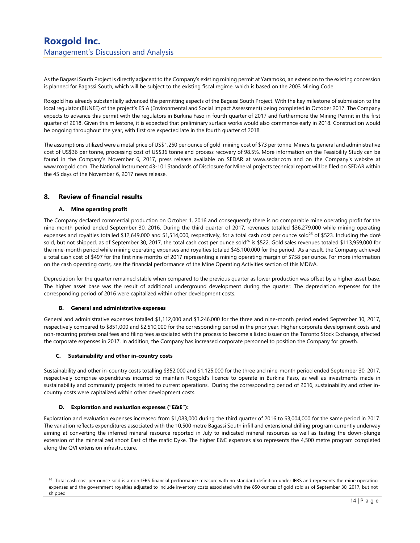As the Bagassi South Project is directly adjacent to the Company's existing mining permit at Yaramoko, an extension to the existing concession is planned for Bagassi South, which will be subject to the existing fiscal regime, which is based on the 2003 Mining Code.

Roxgold has already substantially advanced the permitting aspects of the Bagassi South Project. With the key milestone of submission to the local regulator (BUNEE) of the project's ESIA (Environmental and Social Impact Assessment) being completed in October 2017. The Company expects to advance this permit with the regulators in Burkina Faso in fourth quarter of 2017 and furthermore the Mining Permit in the first quarter of 2018. Given this milestone, it is expected that preliminary surface works would also commence early in 2018. Construction would be ongoing throughout the year, with first ore expected late in the fourth quarter of 2018.

The assumptions utilized were a metal price of US\$1,250 per ounce of gold, mining cost of \$73 per tonne, Mine site general and administrative cost of US\$36 per tonne, processing cost of US\$36 tonne and process recovery of 98.5%. More information on the Feasibility Study can be found in the Company's November 6, 2017, press release available on SEDAR at www.sedar.com and on the Company's website at www.roxgold.com. The National Instrument 43-101 Standards of Disclosure for Mineral projects technical report will be filed on SEDAR within the 45 days of the November 6, 2017 news release.

## 8. Review of financial results

#### A. Mine operating profit

The Company declared commercial production on October 1, 2016 and consequently there is no comparable mine operating profit for the nine-month period ended September 30, 2016. During the third quarter of 2017, revenues totalled \$36,279,000 while mining operating expenses and royalties totalled \$12,649,000 and \$1,514,000, respectively, for a total cash cost per ounce sold<sup>26</sup> of \$523. Including the doré sold, but not shipped, as of September 30, 2017, the total cash cost per ounce sold<sup>26</sup> is \$522. Gold sales revenues totaled \$113,959,000 for the nine-month period while mining operating expenses and royalties totaled \$45,100,000 for the period. As a result, the Company achieved a total cash cost of \$497 for the first nine months of 2017 representing a mining operating margin of \$758 per ounce. For more information on the cash operating costs, see the financial performance of the Mine Operating Activities section of this MD&A.

Depreciation for the quarter remained stable when compared to the previous quarter as lower production was offset by a higher asset base. The higher asset base was the result of additional underground development during the quarter. The depreciation expenses for the corresponding period of 2016 were capitalized within other development costs.

#### B. General and administrative expenses

General and administrative expenses totalled \$1,112,000 and \$3,246,000 for the three and nine-month period ended September 30, 2017, respectively compared to \$851,000 and \$2,510,000 for the corresponding period in the prior year. Higher corporate development costs and non-recurring professional fees and filing fees associated with the process to become a listed issuer on the Toronto Stock Exchange, affected the corporate expenses in 2017. In addition, the Company has increased corporate personnel to position the Company for growth.

#### C. Sustainability and other in-country costs

Sustainability and other in-country costs totalling \$352,000 and \$1,125,000 for the three and nine-month period ended September 30, 2017, respectively comprise expenditures incurred to maintain Roxgold's licence to operate in Burkina Faso, as well as investments made in sustainability and community projects related to current operations. During the corresponding period of 2016, sustainability and other incountry costs were capitalized within other development costs.

#### D. Exploration and evaluation expenses ("E&E"):

-

Exploration and evaluation expenses increased from \$1,083,000 during the third quarter of 2016 to \$3,004,000 for the same period in 2017. The variation reflects expenditures associated with the 10,500 metre Bagassi South infill and extensional drilling program currently underway aiming at converting the inferred mineral resource reported in July to indicated mineral resources as well as testing the down-plunge extension of the mineralized shoot East of the mafic Dyke. The higher E&E expenses also represents the 4,500 metre program completed along the QVI extension infrastructure.

<sup>&</sup>lt;sup>26</sup> Total cash cost per ounce sold is a non-IFRS financial performance measure with no standard definition under IFRS and represents the mine operating expenses and the government royalties adjusted to include inventory costs associated with the 850 ounces of gold sold as of September 30, 2017, but not shipped.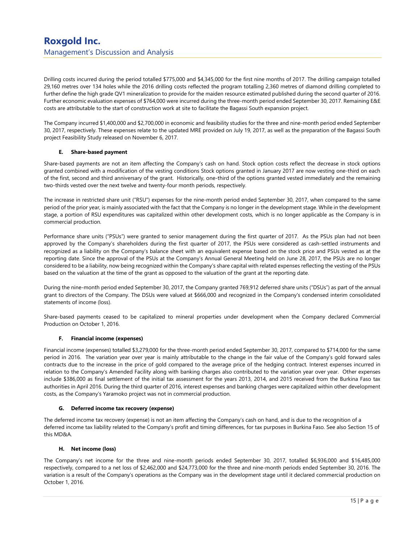Drilling costs incurred during the period totalled \$775,000 and \$4,345,000 for the first nine months of 2017. The drilling campaign totalled 29,160 metres over 134 holes while the 2016 drilling costs reflected the program totalling 2,360 metres of diamond drilling completed to further define the high grade QV1 mineralization to provide for the maiden resource estimated published during the second quarter of 2016. Further economic evaluation expenses of \$764,000 were incurred during the three-month period ended September 30, 2017. Remaining E&E costs are attributable to the start of construction work at site to facilitate the Bagassi South expansion project.

The Company incurred \$1,400,000 and \$2,700,000 in economic and feasibility studies for the three and nine-month period ended September 30, 2017, respectively. These expenses relate to the updated MRE provided on July 19, 2017, as well as the preparation of the Bagassi South project Feasibility Study released on November 6, 2017.

#### E. Share-based payment

Share-based payments are not an item affecting the Company's cash on hand. Stock option costs reflect the decrease in stock options granted combined with a modification of the vesting conditions Stock options granted in January 2017 are now vesting one-third on each of the first, second and third anniversary of the grant. Historically, one-third of the options granted vested immediately and the remaining two-thirds vested over the next twelve and twenty-four month periods, respectively.

The increase in restricted share unit ("RSU") expenses for the nine-month period ended September 30, 2017, when compared to the same period of the prior year, is mainly associated with the fact that the Company is no longer in the development stage. While in the development stage, a portion of RSU expenditures was capitalized within other development costs, which is no longer applicable as the Company is in commercial production.

Performance share units ("PSUs") were granted to senior management during the first quarter of 2017. As the PSUs plan had not been approved by the Company's shareholders during the first quarter of 2017, the PSUs were considered as cash-settled instruments and recognized as a liability on the Company's balance sheet with an equivalent expense based on the stock price and PSUs vested as at the reporting date. Since the approval of the PSUs at the Company's Annual General Meeting held on June 28, 2017, the PSUs are no longer considered to be a liability, now being recognized within the Company's share capital with related expenses reflecting the vesting of the PSUs based on the valuation at the time of the grant as opposed to the valuation of the grant at the reporting date.

During the nine-month period ended September 30, 2017, the Company granted 769,912 deferred share units ("DSUs") as part of the annual grant to directors of the Company. The DSUs were valued at \$666,000 and recognized in the Company's condensed interim consolidated statements of income (loss).

Share-based payments ceased to be capitalized to mineral properties under development when the Company declared Commercial Production on October 1, 2016.

#### F. Financial income (expenses)

Financial income (expenses) totalled \$3,279,000 for the three-month period ended September 30, 2017, compared to \$714,000 for the same period in 2016. The variation year over year is mainly attributable to the change in the fair value of the Company's gold forward sales contracts due to the increase in the price of gold compared to the average price of the hedging contract. Interest expenses incurred in relation to the Company's Amended Facility along with banking charges also contributed to the variation year over year. Other expenses include \$386,000 as final settlement of the initial tax assessment for the years 2013, 2014, and 2015 received from the Burkina Faso tax authorities in April 2016. During the third quarter of 2016, interest expenses and banking charges were capitalized within other development costs, as the Company's Yaramoko project was not in commercial production.

#### G. Deferred income tax recovery (expense)

The deferred income tax recovery (expense) is not an item affecting the Company's cash on hand, and is due to the recognition of a deferred income tax liability related to the Company's profit and timing differences, for tax purposes in Burkina Faso. See also Section 15 of this MD&A.

#### H. Net income (loss)

The Company's net income for the three and nine-month periods ended September 30, 2017, totalled \$6,936,000 and \$16,485,000 respectively, compared to a net loss of \$2,462,000 and \$24,773,000 for the three and nine-month periods ended September 30, 2016. The variation is a result of the Company's operations as the Company was in the development stage until it declared commercial production on October 1, 2016.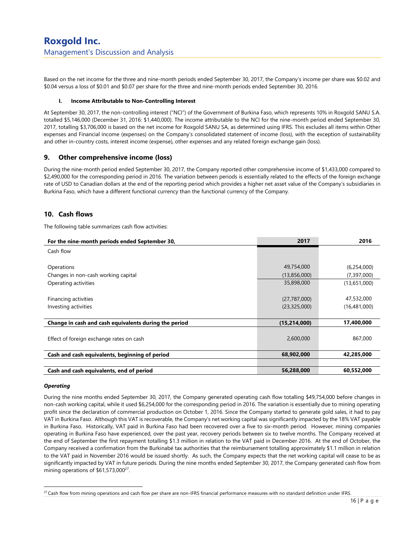Based on the net income for the three and nine-month periods ended September 30, 2017, the Company's income per share was \$0.02 and \$0.04 versus a loss of \$0.01 and \$0.07 per share for the three and nine-month periods ended September 30, 2016.

#### Income Attributable to Non-Controlling Interest

At September 30, 2017, the non-controlling interest ("NCI") of the Government of Burkina Faso, which represents 10% in Roxgold SANU S.A. totalled \$5,146,000 (December 31, 2016: \$1,440,000). The income attributable to the NCI for the nine-month period ended September 30, 2017, totalling \$3,706,000 is based on the net income for Roxgold SANU SA, as determined using IFRS. This excludes all items within Other expenses and Financial income (expenses) on the Company's consolidated statement of income (loss), with the exception of sustainability and other in-country costs, interest income (expense), other expenses and any related foreign exchange gain (loss).

### 9. Other comprehensive income (loss)

During the nine-month period ended September 30, 2017, the Company reported other comprehensive income of \$1,433,000 compared to \$2,490,000 for the corresponding period in 2016. The variation between periods is essentially related to the effects of the foreign exchange rate of USD to Canadian dollars at the end of the reporting period which provides a higher net asset value of the Company's subsidiaries in Burkina Faso, which have a different functional currency than the functional currency of the Company.

## 10. Cash flows

The following table summarizes cash flow activities:

| For the nine-month periods ended September 30,        | 2017           | 2016          |
|-------------------------------------------------------|----------------|---------------|
| Cash flow                                             |                |               |
|                                                       |                |               |
| Operations                                            | 49,754,000     | (6,254,000)   |
| Changes in non-cash working capital                   | (13,856,000)   | (7, 397, 000) |
| Operating activities                                  | 35,898,000     | (13,651,000)  |
|                                                       |                |               |
| Financing activities                                  | (27,787,000)   | 47,532,000    |
| Investing activities                                  | (23, 325, 000) | (16,481,000)  |
|                                                       |                |               |
| Change in cash and cash equivalents during the period | (15, 214, 000) | 17,400,000    |
|                                                       |                |               |
| Effect of foreign exchange rates on cash              | 2,600,000      | 867,000       |
|                                                       |                |               |
| Cash and cash equivalents, beginning of period        | 68,902,000     | 42,285,000    |
|                                                       |                |               |
| Cash and cash equivalents, end of period              | 56,288,000     | 60,552,000    |

#### **Operating**

-

During the nine months ended September 30, 2017, the Company generated operating cash flow totalling \$49,754,000 before changes in non-cash working capital, while it used \$6,254,000 for the corresponding period in 2016. The variation is essentially due to mining operating profit since the declaration of commercial production on October 1, 2016. Since the Company started to generate gold sales, it had to pay VAT in Burkina Faso. Although this VAT is recoverable, the Company's net working capital was significantly impacted by the 18% VAT payable in Burkina Faso. Historically, VAT paid in Burkina Faso had been recovered over a five to six-month period. However, mining companies operating in Burkina Faso have experienced, over the past year, recovery periods between six to twelve months. The Company received at the end of September the first repayment totalling \$1.3 million in relation to the VAT paid in December 2016. At the end of October, the Company received a confirmation from the Burkinabé tax authorities that the reimbursement totalling approximately \$1.1 million in relation to the VAT paid in November 2016 would be issued shortly. As such, the Company expects that the net working capital will cease to be as significantly impacted by VAT in future periods. During the nine months ended September 30, 2017, the Company generated cash flow from mining operations of \$61,573,000<sup>27</sup>.

 $27$  Cash flow from mining operations and cash flow per share are non-IFRS financial performance measures with no standard definition under IFRS.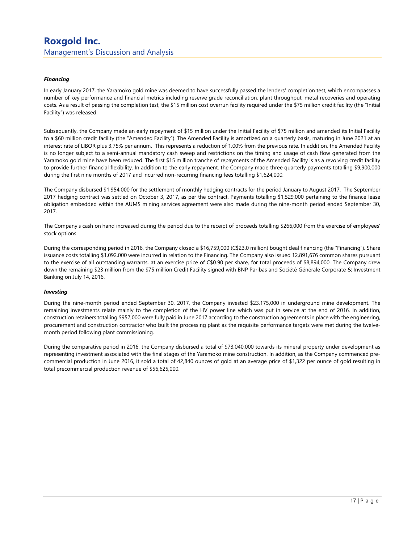#### Financing

In early January 2017, the Yaramoko gold mine was deemed to have successfully passed the lenders' completion test, which encompasses a number of key performance and financial metrics including reserve grade reconciliation, plant throughput, metal recoveries and operating costs. As a result of passing the completion test, the \$15 million cost overrun facility required under the \$75 million credit facility (the "Initial Facility") was released.

Subsequently, the Company made an early repayment of \$15 million under the Initial Facility of \$75 million and amended its Initial Facility to a \$60 million credit facility (the "Amended Facility"). The Amended Facility is amortized on a quarterly basis, maturing in June 2021 at an interest rate of LIBOR plus 3.75% per annum. This represents a reduction of 1.00% from the previous rate. In addition, the Amended Facility is no longer subject to a semi-annual mandatory cash sweep and restrictions on the timing and usage of cash flow generated from the Yaramoko gold mine have been reduced. The first \$15 million tranche of repayments of the Amended Facility is as a revolving credit facility to provide further financial flexibility. In addition to the early repayment, the Company made three quarterly payments totalling \$9,900,000 during the first nine months of 2017 and incurred non-recurring financing fees totalling \$1,624,000.

The Company disbursed \$1,954,000 for the settlement of monthly hedging contracts for the period January to August 2017. The September 2017 hedging contract was settled on October 3, 2017, as per the contract. Payments totalling \$1,529,000 pertaining to the finance lease obligation embedded within the AUMS mining services agreement were also made during the nine-month period ended September 30, 2017.

The Company's cash on hand increased during the period due to the receipt of proceeds totalling \$266,000 from the exercise of employees' stock options.

During the corresponding period in 2016, the Company closed a \$16,759,000 (C\$23.0 million) bought deal financing (the "Financing"). Share issuance costs totalling \$1,092,000 were incurred in relation to the Financing. The Company also issued 12,891,676 common shares pursuant to the exercise of all outstanding warrants, at an exercise price of C\$0.90 per share, for total proceeds of \$8,894,000. The Company drew down the remaining \$23 million from the \$75 million Credit Facility signed with BNP Paribas and Société Générale Corporate & Investment Banking on July 14, 2016.

#### Investing

During the nine-month period ended September 30, 2017, the Company invested \$23,175,000 in underground mine development. The remaining investments relate mainly to the completion of the HV power line which was put in service at the end of 2016. In addition, construction retainers totalling \$957,000 were fully paid in June 2017 according to the construction agreements in place with the engineering, procurement and construction contractor who built the processing plant as the requisite performance targets were met during the twelvemonth period following plant commissioning.

During the comparative period in 2016, the Company disbursed a total of \$73,040,000 towards its mineral property under development as representing investment associated with the final stages of the Yaramoko mine construction. In addition, as the Company commenced precommercial production in June 2016, it sold a total of 42,840 ounces of gold at an average price of \$1,322 per ounce of gold resulting in total precommercial production revenue of \$56,625,000.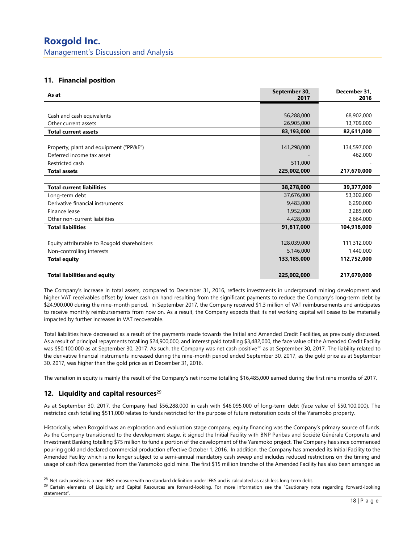## 11. Financial position

| As at                                       | September 30,<br>2017 | December 31,<br>2016 |
|---------------------------------------------|-----------------------|----------------------|
|                                             |                       |                      |
| Cash and cash equivalents                   | 56,288,000            | 68,902,000           |
| Other current assets                        | 26,905,000            | 13,709,000           |
| <b>Total current assets</b>                 | 83,193,000            | 82,611,000           |
|                                             |                       |                      |
| Property, plant and equipment ("PP&E")      | 141,298,000           | 134,597,000          |
| Deferred income tax asset                   |                       | 462,000              |
| Restricted cash                             | 511,000               |                      |
| <b>Total assets</b>                         | 225,002,000           | 217,670,000          |
|                                             |                       |                      |
| <b>Total current liabilities</b>            | 38,278,000            | 39,377,000           |
| Long-term debt                              | 37,676,000            | 53,302,000           |
| Derivative financial instruments            | 9,483,000             | 6,290,000            |
| Finance lease                               | 1,952,000             | 3,285,000            |
| Other non-current liabilities               | 4,428,000             | 2,664,000            |
| <b>Total liabilities</b>                    | 91,817,000            | 104,918,000          |
|                                             |                       |                      |
| Equity attributable to Roxgold shareholders | 128,039,000           | 111,312,000          |
| Non-controlling interests                   | 5,146,000             | 1,440,000            |
| <b>Total equity</b>                         | 133,185,000           | 112,752,000          |
|                                             |                       |                      |
| <b>Total liabilities and equity</b>         | 225,002,000           | 217,670,000          |

The Company's increase in total assets, compared to December 31, 2016, reflects investments in underground mining development and higher VAT receivables offset by lower cash on hand resulting from the significant payments to reduce the Company's long-term debt by \$24,900,000 during the nine-month period. In September 2017, the Company received \$1.3 million of VAT reimbursements and anticipates to receive monthly reimbursements from now on. As a result, the Company expects that its net working capital will cease to be materially impacted by further increases in VAT recoverable.

Total liabilities have decreased as a result of the payments made towards the Initial and Amended Credit Facilities, as previously discussed. As a result of principal repayments totalling \$24,900,000, and interest paid totalling \$3,482,000, the face value of the Amended Credit Facility was \$50,100,000 as at September 30, 2017. As such, the Company was net cash positive<sup>28</sup> as at September 30, 2017. The liability related to the derivative financial instruments increased during the nine-month period ended September 30, 2017, as the gold price as at September 30, 2017, was higher than the gold price as at December 31, 2016.

The variation in equity is mainly the result of the Company's net income totalling \$16,485,000 earned during the first nine months of 2017.

## 12. Liquidity and capital resources $^{29}$

-

As at September 30, 2017, the Company had \$56,288,000 in cash with \$46,095,000 of long-term debt (face value of \$50,100,000). The restricted cash totalling \$511,000 relates to funds restricted for the purpose of future restoration costs of the Yaramoko property.

Historically, when Roxgold was an exploration and evaluation stage company, equity financing was the Company's primary source of funds. As the Company transitioned to the development stage, it signed the Initial Facility with BNP Paribas and Société Générale Corporate and Investment Banking totalling \$75 million to fund a portion of the development of the Yaramoko project. The Company has since commenced pouring gold and declared commercial production effective October 1, 2016. In addition, the Company has amended its Initial Facility to the Amended Facility which is no longer subject to a semi-annual mandatory cash sweep and includes reduced restrictions on the timing and usage of cash flow generated from the Yaramoko gold mine. The first \$15 million tranche of the Amended Facility has also been arranged as

 $^{28}$  Net cash positive is a non-IFRS measure with no standard definition under IFRS and is calculated as cash less long-term debt.

<sup>&</sup>lt;sup>29</sup> Certain elements of Liquidity and Capital Resources are forward-looking. For more information see the "Cautionary note regarding forward-looking statements".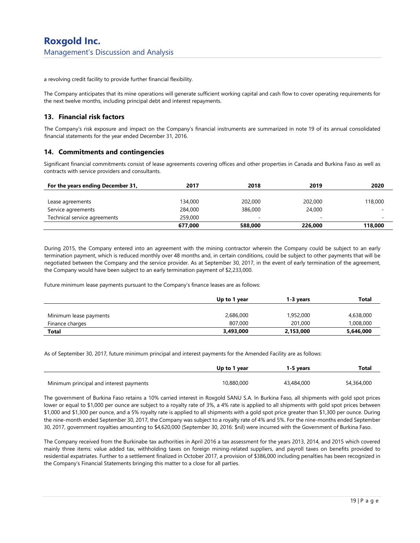a revolving credit facility to provide further financial flexibility.

The Company anticipates that its mine operations will generate sufficient working capital and cash flow to cover operating requirements for the next twelve months, including principal debt and interest repayments.

## 13. Financial risk factors

The Company's risk exposure and impact on the Company's financial instruments are summarized in note 19 of its annual consolidated financial statements for the year ended December 31, 2016.

## 14. Commitments and contingencies

Significant financial commitments consist of lease agreements covering offices and other properties in Canada and Burkina Faso as well as contracts with service providers and consultants.

| For the years ending December 31, | 2017    | 2018                     | 2019                     | 2020    |
|-----------------------------------|---------|--------------------------|--------------------------|---------|
|                                   |         |                          |                          |         |
| Lease agreements                  | 134,000 | 202,000                  | 202,000                  | 118,000 |
| Service agreements                | 284,000 | 386,000                  | 24,000                   |         |
| Technical service agreements      | 259,000 | $\overline{\phantom{a}}$ | $\overline{\phantom{a}}$ |         |
|                                   | 677,000 | 588,000                  | 226,000                  | 118,000 |

During 2015, the Company entered into an agreement with the mining contractor wherein the Company could be subject to an early termination payment, which is reduced monthly over 48 months and, in certain conditions, could be subject to other payments that will be negotiated between the Company and the service provider. As at September 30, 2017, in the event of early termination of the agreement, the Company would have been subject to an early termination payment of \$2,233,000.

Future minimum lease payments pursuant to the Company's finance leases are as follows:

|                        | Up to 1 year | 1-3 vears | Total     |
|------------------------|--------------|-----------|-----------|
| Minimum lease payments | 2,686,000    | 1,952,000 | 4,638,000 |
| Finance charges        | 807,000      | 201,000   | 1,008,000 |
| <b>Total</b>           | 3,493,000    | 2,153,000 | 5,646,000 |

As of September 30, 2017, future minimum principal and interest payments for the Amended Facility are as follows:

|                                         | Up to 1 year | 1-5 vears  | Total      |
|-----------------------------------------|--------------|------------|------------|
| Minimum principal and interest payments | 10,880,000   | 43,484,000 | 54,364,000 |

The government of Burkina Faso retains a 10% carried interest in Roxgold SANU S.A. In Burkina Faso, all shipments with gold spot prices lower or equal to \$1,000 per ounce are subject to a royalty rate of 3%, a 4% rate is applied to all shipments with gold spot prices between \$1,000 and \$1,300 per ounce, and a 5% royalty rate is applied to all shipments with a gold spot price greater than \$1,300 per ounce. During the nine-month ended September 30, 2017, the Company was subject to a royalty rate of 4% and 5%. For the nine-months ended September 30, 2017, government royalties amounting to \$4,620,000 (September 30, 2016: \$nil) were incurred with the Government of Burkina Faso.

The Company received from the Burkinabe tax authorities in April 2016 a tax assessment for the years 2013, 2014, and 2015 which covered mainly three items: value added tax, withholding taxes on foreign mining-related suppliers, and payroll taxes on benefits provided to residential expatriates. Further to a settlement finalized in October 2017, a provision of \$386,000 including penalties has been recognized in the Company's Financial Statements bringing this matter to a close for all parties.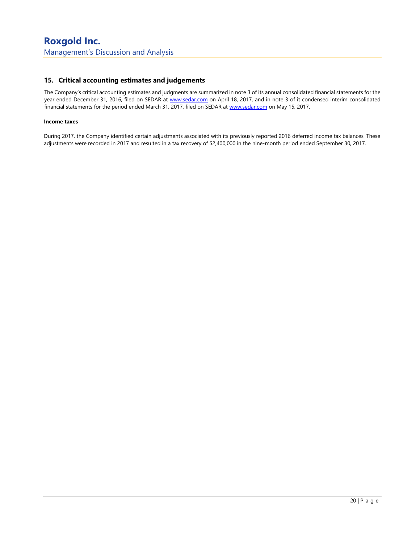## 15. Critical accounting estimates and judgements

The Company's critical accounting estimates and judgments are summarized in note 3 of its annual consolidated financial statements for the year ended December 31, 2016, filed on SEDAR at www.sedar.com on April 18, 2017, and in note 3 of it condensed interim consolidated financial statements for the period ended March 31, 2017, filed on SEDAR at www.sedar.com on May 15, 2017.

#### Income taxes

During 2017, the Company identified certain adjustments associated with its previously reported 2016 deferred income tax balances. These adjustments were recorded in 2017 and resulted in a tax recovery of \$2,400,000 in the nine-month period ended September 30, 2017.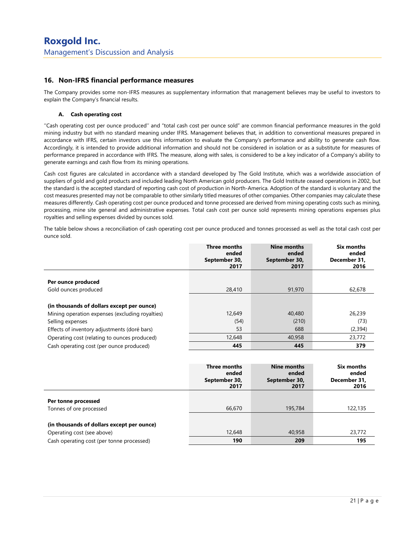## 16. Non-IFRS financial performance measures

The Company provides some non-IFRS measures as supplementary information that management believes may be useful to investors to explain the Company's financial results.

#### A. Cash operating cost

''Cash operating cost per ounce produced'' and "total cash cost per ounce sold" are common financial performance measures in the gold mining industry but with no standard meaning under IFRS. Management believes that, in addition to conventional measures prepared in accordance with IFRS, certain investors use this information to evaluate the Company's performance and ability to generate cash flow. Accordingly, it is intended to provide additional information and should not be considered in isolation or as a substitute for measures of performance prepared in accordance with IFRS. The measure, along with sales, is considered to be a key indicator of a Company's ability to generate earnings and cash flow from its mining operations.

Cash cost figures are calculated in accordance with a standard developed by The Gold Institute, which was a worldwide association of suppliers of gold and gold products and included leading North American gold producers. The Gold Institute ceased operations in 2002, but the standard is the accepted standard of reporting cash cost of production in North-America. Adoption of the standard is voluntary and the cost measures presented may not be comparable to other similarly titled measures of other companies. Other companies may calculate these measures differently. Cash operating cost per ounce produced and tonne processed are derived from mining operating costs such as mining, processing, mine site general and administrative expenses. Total cash cost per ounce sold represents mining operations expenses plus royalties and selling expenses divided by ounces sold.

The table below shows a reconciliation of cash operating cost per ounce produced and tonnes processed as well as the total cash cost per ounce sold.

|                                                 | <b>Three months</b><br>ended<br>September 30,<br>2017 | Nine months<br>ended<br>September 30,<br>2017 | <b>Six months</b><br>ended<br>December 31,<br>2016 |
|-------------------------------------------------|-------------------------------------------------------|-----------------------------------------------|----------------------------------------------------|
|                                                 |                                                       |                                               |                                                    |
| Per ounce produced                              |                                                       |                                               |                                                    |
| Gold ounces produced                            | 28,410                                                | 91,970                                        | 62,678                                             |
|                                                 |                                                       |                                               |                                                    |
| (in thousands of dollars except per ounce)      |                                                       |                                               |                                                    |
| Mining operation expenses (excluding royalties) | 12,649                                                | 40,480                                        | 26,239                                             |
| Selling expenses                                | (54)                                                  | (210)                                         | (73)                                               |
| Effects of inventory adjustments (doré bars)    | 53                                                    | 688                                           | (2,394)                                            |
| Operating cost (relating to ounces produced)    | 12,648                                                | 40,958                                        | 23,772                                             |
| Cash operating cost (per ounce produced)        | 445                                                   | 445                                           | 379                                                |

|                                            | Three months<br>ended<br>September 30,<br>2017 | Nine months<br>ended<br>September 30,<br>2017 | Six months<br>ended<br>December 31,<br>2016 |
|--------------------------------------------|------------------------------------------------|-----------------------------------------------|---------------------------------------------|
|                                            |                                                |                                               |                                             |
| Per tonne processed                        |                                                |                                               |                                             |
| Tonnes of ore processed                    | 66,670                                         | 195,784                                       | 122,135                                     |
|                                            |                                                |                                               |                                             |
| (in thousands of dollars except per ounce) |                                                |                                               |                                             |
| Operating cost (see above)                 | 12,648                                         | 40,958                                        | 23,772                                      |
| Cash operating cost (per tonne processed)  | 190                                            | 209                                           | 195                                         |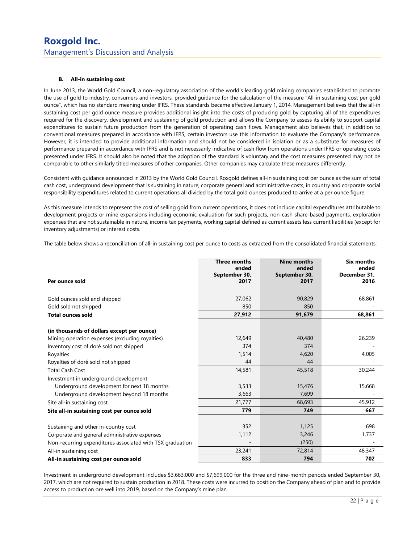#### B. All-in sustaining cost

In June 2013, the World Gold Council, a non-regulatory association of the world's leading gold mining companies established to promote the use of gold to industry, consumers and investors, provided guidance for the calculation of the measure "All-in sustaining cost per gold ounce", which has no standard meaning under IFRS. These standards became effective January 1, 2014. Management believes that the all-in sustaining cost per gold ounce measure provides additional insight into the costs of producing gold by capturing all of the expenditures required for the discovery, development and sustaining of gold production and allows the Company to assess its ability to support capital expenditures to sustain future production from the generation of operating cash flows. Management also believes that, in addition to conventional measures prepared in accordance with IFRS, certain investors use this information to evaluate the Company's performance. However, it is intended to provide additional information and should not be considered in isolation or as a substitute for measures of performance prepared in accordance with IFRS and is not necessarily indicative of cash flow from operations under IFRS or operating costs presented under IFRS. It should also be noted that the adoption of the standard is voluntary and the cost measures presented may not be comparable to other similarly titled measures of other companies. Other companies may calculate these measures differently.

Consistent with guidance announced in 2013 by the World Gold Council, Roxgold defines all-in sustaining cost per ounce as the sum of total cash cost, underground development that is sustaining in nature, corporate general and administrative costs, in country and corporate social responsibility expenditures related to current operations all divided by the total gold ounces produced to arrive at a per ounce figure.

As this measure intends to represent the cost of selling gold from current operations, it does not include capital expenditures attributable to development projects or mine expansions including economic evaluation for such projects, non-cash share-based payments, exploration expenses that are not sustainable in nature, income tax payments, working capital defined as current assets less current liabilities (except for inventory adjustments) or interest costs.

The table below shows a reconciliation of all-in sustaining cost per ounce to costs as extracted from the consolidated financial statements:

| Per ounce sold                                            | <b>Three months</b><br>ended<br>September 30,<br>2017 | <b>Nine months</b><br>ended<br>September 30,<br>2017 | <b>Six months</b><br>ended<br>December 31,<br>2016 |
|-----------------------------------------------------------|-------------------------------------------------------|------------------------------------------------------|----------------------------------------------------|
|                                                           |                                                       |                                                      |                                                    |
| Gold ounces sold and shipped<br>Gold sold not shipped     | 27,062<br>850                                         | 90,829<br>850                                        | 68,861                                             |
| <b>Total ounces sold</b>                                  | 27,912                                                | 91,679                                               | 68,861                                             |
| (in thousands of dollars except per ounce)                |                                                       |                                                      |                                                    |
| Mining operation expenses (excluding royalties)           | 12,649                                                | 40,480                                               | 26,239                                             |
| Inventory cost of doré sold not shipped                   | 374                                                   | 374                                                  |                                                    |
| Royalties                                                 | 1.514                                                 | 4.620                                                | 4,005                                              |
| Royalties of doré sold not shipped                        | 44                                                    | 44                                                   |                                                    |
| <b>Total Cash Cost</b>                                    | 14,581                                                | 45,518                                               | 30,244                                             |
| Investment in underground development                     |                                                       |                                                      |                                                    |
| Underground development for next 18 months                | 3,533                                                 | 15,476                                               | 15,668                                             |
| Underground development beyond 18 months                  | 3,663                                                 | 7,699                                                |                                                    |
| Site all-in sustaining cost                               | 21,777                                                | 68,693                                               | 45,912                                             |
| Site all-in sustaining cost per ounce sold                | 779                                                   | 749                                                  | 667                                                |
|                                                           |                                                       |                                                      |                                                    |
| Sustaining and other in-country cost                      | 352                                                   | 1,125                                                | 698                                                |
| Corporate and general administrative expenses             | 1,112                                                 | 3,246                                                | 1,737                                              |
| Non-recurring expenditures associated with TSX graduation |                                                       | (250)                                                |                                                    |
| All-in sustaining cost                                    | 23,241                                                | 72,814                                               | 48,347                                             |
| All-in sustaining cost per ounce sold                     | 833                                                   | 794                                                  | 702                                                |

Investment in underground development includes \$3,663,000 and \$7,699,000 for the three and nine-month periods ended September 30, 2017, which are not required to sustain production in 2018. These costs were incurred to position the Company ahead of plan and to provide access to production ore well into 2019, based on the Company's mine plan.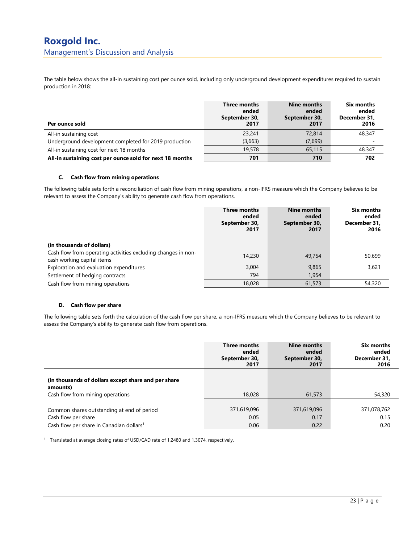## Roxgold Inc. Management's Discussion and Analysis

The table below shows the all-in sustaining cost per ounce sold, including only underground development expenditures required to sustain production in 2018:

| Per ounce sold                                           | Three months<br>ended<br>September 30,<br>2017 | Nine months<br>ended<br>September 30,<br>2017 | Six months<br>ended<br>December 31,<br>2016 |
|----------------------------------------------------------|------------------------------------------------|-----------------------------------------------|---------------------------------------------|
| All-in sustaining cost                                   | 23,241                                         | 72,814                                        | 48,347                                      |
| Underground development completed for 2019 production    | (3,663)                                        | (7,699)                                       | -                                           |
| All-in sustaining cost for next 18 months                | 19,578                                         | 65,115                                        | 48,347                                      |
| All-in sustaining cost per ounce sold for next 18 months | 701                                            | 710                                           | 702                                         |

#### C. Cash flow from mining operations

The following table sets forth a reconciliation of cash flow from mining operations, a non-IFRS measure which the Company believes to be relevant to assess the Company's ability to generate cash flow from operations.

|                                                                                             | Three months<br>ended<br>September 30,<br>2017 | Nine months<br>ended<br>September 30,<br>2017 | Six months<br>ended<br>December 31,<br>2016 |
|---------------------------------------------------------------------------------------------|------------------------------------------------|-----------------------------------------------|---------------------------------------------|
|                                                                                             |                                                |                                               |                                             |
| (in thousands of dollars)                                                                   |                                                |                                               |                                             |
| Cash flow from operating activities excluding changes in non-<br>cash working capital items | 14,230                                         | 49,754                                        | 50,699                                      |
| Exploration and evaluation expenditures                                                     | 3,004                                          | 9,865                                         | 3,621                                       |
| Settlement of hedging contracts                                                             | 794                                            | 1,954                                         |                                             |
| Cash flow from mining operations                                                            | 18,028                                         | 61,573                                        | 54,320                                      |

#### D. Cash flow per share

The following table sets forth the calculation of the cash flow per share, a non-IFRS measure which the Company believes to be relevant to assess the Company's ability to generate cash flow from operations.

|                                                                                                     | <b>Three months</b> | Nine months   | Six months   |
|-----------------------------------------------------------------------------------------------------|---------------------|---------------|--------------|
|                                                                                                     | ended               | ended         | ended        |
|                                                                                                     | September 30,       | September 30, | December 31, |
|                                                                                                     | 2017                | 2017          | 2016         |
| (in thousands of dollars except share and per share<br>amounts)<br>Cash flow from mining operations | 18,028              | 61,573        | 54,320       |
| Common shares outstanding at end of period                                                          | 371,619,096         | 371,619,096   | 371,078,762  |
| Cash flow per share                                                                                 | 0.05                | 0.17          | 0.15         |
| Cash flow per share in Canadian dollars <sup>1</sup>                                                | 0.06                | 0.22          | 0.20         |

<sup>1</sup> Translated at average closing rates of USD/CAD rate of 1.2480 and 1.3074, respectively.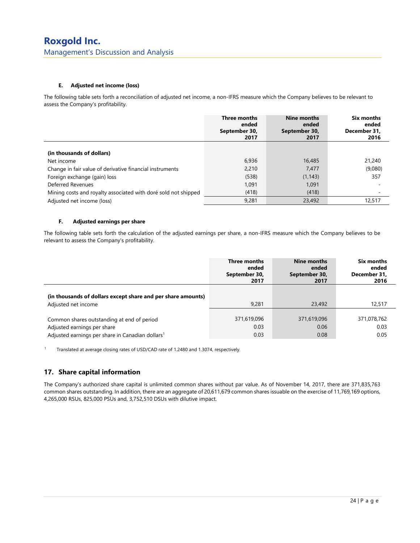#### E. Adjusted net income (loss)

The following table sets forth a reconciliation of adjusted net income, a non-IFRS measure which the Company believes to be relevant to assess the Company's profitability.

|                                                                | <b>Three months</b><br>ended<br>September 30,<br>2017 | Nine months<br>ended<br>September 30,<br>2017 | Six months<br>ended<br>December 31.<br>2016 |
|----------------------------------------------------------------|-------------------------------------------------------|-----------------------------------------------|---------------------------------------------|
| (in thousands of dollars)                                      |                                                       |                                               |                                             |
| Net income                                                     | 6,936                                                 | 16,485                                        | 21,240                                      |
| Change in fair value of derivative financial instruments       | 2.210                                                 | 7,477                                         | (9,080)                                     |
| Foreign exchange (gain) loss                                   | (538)                                                 | (1, 143)                                      | 357                                         |
| Deferred Revenues                                              | 1.091                                                 | 1.091                                         | $\overline{\phantom{a}}$                    |
| Mining costs and royalty associated with doré sold not shipped | (418)                                                 | (418)                                         |                                             |
| Adjusted net income (loss)                                     | 9,281                                                 | 23,492                                        | 12,517                                      |

#### F. Adjusted earnings per share

The following table sets forth the calculation of the adjusted earnings per share, a non-IFRS measure which the Company believes to be relevant to assess the Company's profitability.

|                                                                                     | Three months  | Nine months   | Six months   |
|-------------------------------------------------------------------------------------|---------------|---------------|--------------|
|                                                                                     | ended         | ended         | ended        |
|                                                                                     | September 30, | September 30, | December 31, |
|                                                                                     | 2017          | 2017          | 2016         |
| (in thousands of dollars except share and per share amounts)<br>Adjusted net income | 9.281         | 23,492        | 12,517       |
| Common shares outstanding at end of period                                          | 371,619,096   | 371,619,096   | 371,078,762  |
| Adjusted earnings per share                                                         | 0.03          | 0.06          | 0.03         |
| Adjusted earnings per share in Canadian dollars <sup>1</sup>                        | 0.03          | 0.08          | 0.05         |

<sup>1</sup> Translated at average closing rates of USD/CAD rate of 1.2480 and 1.3074, respectively.

## 17. Share capital information

The Company's authorized share capital is unlimited common shares without par value. As of November 14, 2017, there are 371,835,763 common shares outstanding. In addition, there are an aggregate of 20,611,679 common shares issuable on the exercise of 11,769,169 options, 4,265,000 RSUs, 825,000 PSUs and, 3,752,510 DSUs with dilutive impact.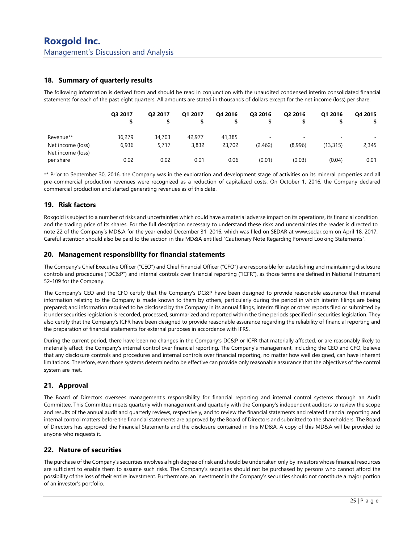## 18. Summary of quarterly results

The following information is derived from and should be read in conjunction with the unaudited condensed interim consolidated financial statements for each of the past eight quarters. All amounts are stated in thousands of dollars except for the net income (loss) per share.

|                   | Q3 2017 | Q2 2017 | Q1 2017 | Q4 2016 | Q3 2016 | Q2 2016 | Q1 2016                  | Q4 2015 |
|-------------------|---------|---------|---------|---------|---------|---------|--------------------------|---------|
|                   |         |         |         |         |         |         |                          |         |
|                   |         |         |         |         |         |         |                          |         |
| Revenue**         | 36,279  | 34,703  | 42.977  | 41,385  | -       | -       | $\overline{\phantom{a}}$ |         |
| Net income (loss) | 6,936   | 5.717   | 3,832   | 23,702  | (2,462) | (8,996) | (13, 315)                | 2,345   |
| Net income (loss) |         |         |         |         |         |         |                          |         |
| per share         | 0.02    | 0.02    | 0.01    | 0.06    | (0.01)  | (0.03)  | (0.04)                   | 0.01    |

\*\* Prior to September 30, 2016, the Company was in the exploration and development stage of activities on its mineral properties and all pre-commercial production revenues were recognized as a reduction of capitalized costs. On October 1, 2016, the Company declared commercial production and started generating revenues as of this date.

## 19. Risk factors

Roxgold is subject to a number of risks and uncertainties which could have a material adverse impact on its operations, its financial condition and the trading price of its shares. For the full description necessary to understand these risks and uncertainties the reader is directed to note 22 of the Company's MD&A for the year ended December 31, 2016, which was filed on SEDAR at www.sedar.com on April 18, 2017. Careful attention should also be paid to the section in this MD&A entitled "Cautionary Note Regarding Forward Looking Statements".

## 20. Management responsibility for financial statements

The Company's Chief Executive Officer ("CEO") and Chief Financial Officer ("CFO") are responsible for establishing and maintaining disclosure controls and procedures ("DC&P") and internal controls over financial reporting ("ICFR"), as those terms are defined in National Instrument 52-109 for the Company.

The Company's CEO and the CFO certify that the Company's DC&P have been designed to provide reasonable assurance that material information relating to the Company is made known to them by others, particularly during the period in which interim filings are being prepared; and information required to be disclosed by the Company in its annual filings, interim filings or other reports filed or submitted by it under securities legislation is recorded, processed, summarized and reported within the time periods specified in securities legislation. They also certify that the Company's ICFR have been designed to provide reasonable assurance regarding the reliability of financial reporting and the preparation of financial statements for external purposes in accordance with IFRS.

During the current period, there have been no changes in the Company's DC&P or ICFR that materially affected, or are reasonably likely to materially affect, the Company's internal control over financial reporting. The Company's management, including the CEO and CFO, believe that any disclosure controls and procedures and internal controls over financial reporting, no matter how well designed, can have inherent limitations. Therefore, even those systems determined to be effective can provide only reasonable assurance that the objectives of the control system are met.

## 21. Approval

The Board of Directors oversees management's responsibility for financial reporting and internal control systems through an Audit Committee. This Committee meets quarterly with management and quarterly with the Company's independent auditors to review the scope and results of the annual audit and quarterly reviews, respectively, and to review the financial statements and related financial reporting and internal control matters before the financial statements are approved by the Board of Directors and submitted to the shareholders. The Board of Directors has approved the Financial Statements and the disclosure contained in this MD&A. A copy of this MD&A will be provided to anyone who requests it.

## 22. Nature of securities

The purchase of the Company's securities involves a high degree of risk and should be undertaken only by investors whose financial resources are sufficient to enable them to assume such risks. The Company's securities should not be purchased by persons who cannot afford the possibility of the loss of their entire investment. Furthermore, an investment in the Company's securities should not constitute a major portion of an investor's portfolio.